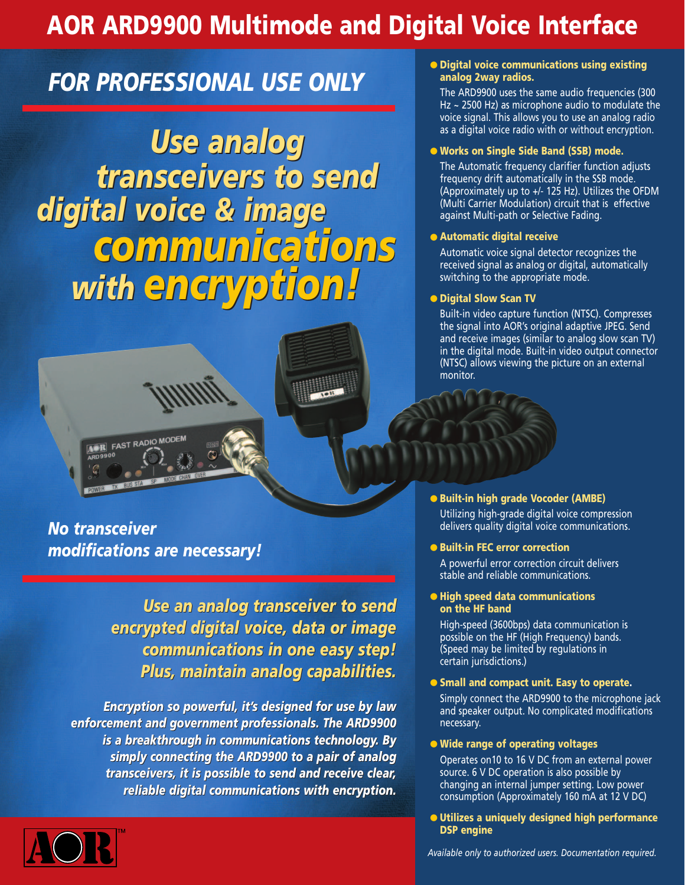# **AOR ARD9900 Multimode and Digital Voice Interface**

# *FOR PROFESSIONAL USE ONLY*

*digital voice & image digital voice & image Use analog Use analog transceivers to send transceivers to send communications communications with encryption! with encryption!*



*No transceiver modifications are necessary!*

> *Use an analog transceiver to send Use an analog transceiver send encrypted digital voice, data or image encrypted digital voice, data or image communications in one easy step! communications in easy step! Plus, maintain analog capabilities. Plus, maintain analog capabilities.*

*Encryption so powerful, it's designed for use by law Encryption powerful, it's for use law enforcement and government professionals. The ARD9900 enforcement professionals. The ARD9900 is a breakthrough in communications technology. By simply connecting the ARD9900 to a pair of analog simply connecting the ARD9900 to a pair of analog transceivers, it is possible to send and receive clear, transceivers, it is to send and receive clear, reliable digital communications with encryption. reliable digital communications with encryption.* 



### ● **Digital voice communications using existing analog 2way radios.**

The ARD9900 uses the same audio frequencies (300 Hz ~ 2500 Hz) as microphone audio to modulate the voice signal. This allows you to use an analog radio as a digital voice radio with or without encryption.

### ● **Works on Single Side Band (SSB) mode.**

The Automatic frequency clarifier function adjusts frequency drift automatically in the SSB mode. (Approximately up to +/- 125 Hz). Utilizes the OFDM (Multi Carrier Modulation) circuit that is effective against Multi-path or Selective Fading.

### ● **Automatic digital receive**

Automatic voice signal detector recognizes the received signal as analog or digital, automatically switching to the appropriate mode.

### ● **Digital Slow Scan TV**

Built-in video capture function (NTSC). Compresses the signal into AOR's original adaptive JPEG. Send and receive images (similar to analog slow scan TV) in the digital mode. Built-in video output connector (NTSC) allows viewing the picture on an external monitor.

● **Built-in high grade Vocoder (AMBE)** Utilizing high-grade digital voice compression delivers quality digital voice communications.

### ● **Built-in FEC error correction**

A powerful error correction circuit delivers stable and reliable communications.

### ● **High speed data communications on the HF band**

High-speed (3600bps) data communication is possible on the HF (High Frequency) bands. (Speed may be limited by regulations in certain jurisdictions.)

### ● **Small and compact unit. Easy to operate.**

Simply connect the ARD9900 to the microphone jack and speaker output. No complicated modifications necessary.

### ● **Wide range of operating voltages**

Operates on10 to 16 V DC from an external power source. 6 V DC operation is also possible by changing an internal jumper setting. Low power consumption (Approximately 160 mA at 12 V DC)

● **Utilizes a uniquely designed high performance DSP engine**

*Available only to authorized users. Documentation required.*